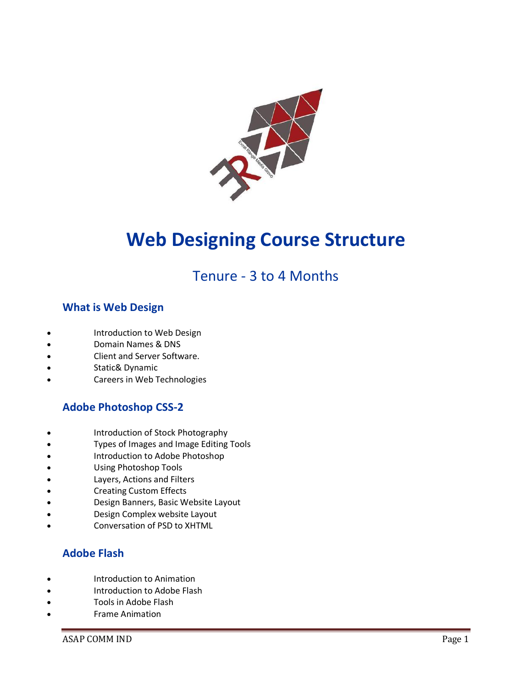

# **Web Designing Course Structure**

## Tenure - 3 to 4 Months

## **What is Web Design**

- Introduction to Web Design
- Domain Names & DNS
- Client and Server Software.
- Static& Dynamic
- Careers in Web Technologies

## **Adobe Photoshop CSS-2**

- Introduction of Stock Photography
- Types of Images and Image Editing Tools
- Introduction to Adobe Photoshop
- Using Photoshop Tools
- Layers, Actions and Filters
- Creating Custom Effects
- Design Banners, Basic Website Layout
- Design Complex website Layout
- Conversation of PSD to XHTML

## **Adobe Flash**

- Introduction to Animation
- Introduction to Adobe Flash
- Tools in Adobe Flash
- Frame Animation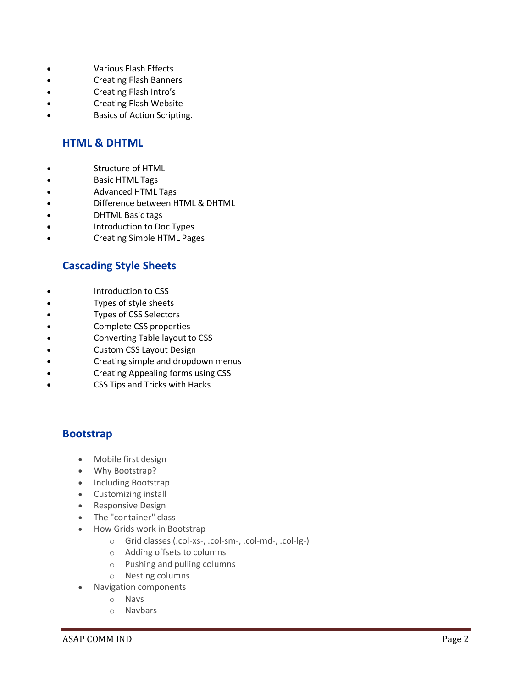- Various Flash Effects
- Creating Flash Banners
- Creating Flash Intro's
- Creating Flash Website
- Basics of Action Scripting.

## **HTML & DHTML**

- Structure of HTML
- Basic HTML Tags
- Advanced HTML Tags
- Difference between HTML & DHTML
- DHTML Basic tags
- Introduction to Doc Types
- Creating Simple HTML Pages

## **Cascading Style Sheets**

- Introduction to CSS
- Types of style sheets
- Types of CSS Selectors
- Complete CSS properties
- Converting Table layout to CSS
- Custom CSS Layout Design
- Creating simple and dropdown menus
- Creating Appealing forms using CSS
- CSS Tips and Tricks with Hacks

## **Bootstrap**

- Mobile first design
- Why Bootstrap?
- Including Bootstrap
- Customizing install
- Responsive Design
- The "container" class
- How Grids work in Bootstrap
	- o Grid classes (.col-xs-, .col-sm-, .col-md-, .col-lg-)
	- o Adding offsets to columns
	- o Pushing and pulling columns
	- o Nesting columns
- Navigation components
	- o Navs
	- o Navbars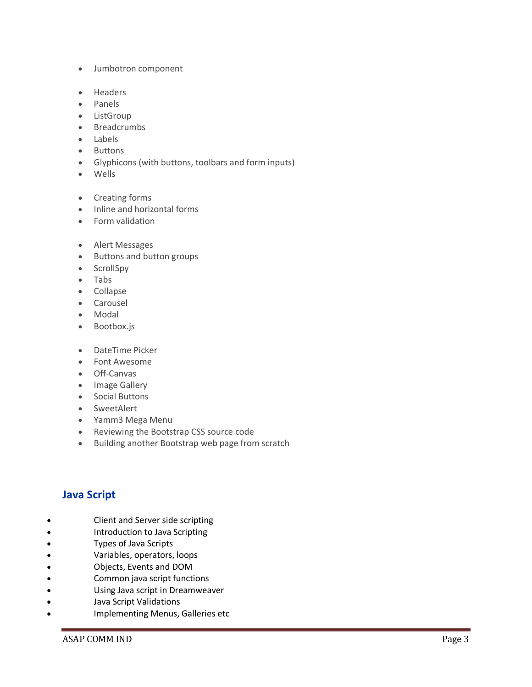- Jumbotron component
- Headers
- Panels
- ListGroup
- Breadcrumbs
- Labels
- Buttons
- Glyphicons (with buttons, toolbars and form inputs)
- Wells
- Creating forms
- Inline and horizontal forms
- Form validation
- Alert Messages
- Buttons and button groups
- ScrollSpy
- Tabs
- Collapse
- Carousel
- Modal
- Bootbox.js
- DateTime Picker
- Font Awesome
- Off-Canvas
- Image Gallery
- Social Buttons
- SweetAlert
- Yamm3 Mega Menu
- Reviewing the Bootstrap CSS source code
- Building another Bootstrap web page from scratch

## **Java Script**

- Client and Server side scripting
- Introduction to Java Scripting
- Types of Java Scripts
- Variables, operators, loops
- Objects, Events and DOM
- Common java script functions
- Using Java script in Dreamweaver
- Java Script Validations
- Implementing Menus, Galleries etc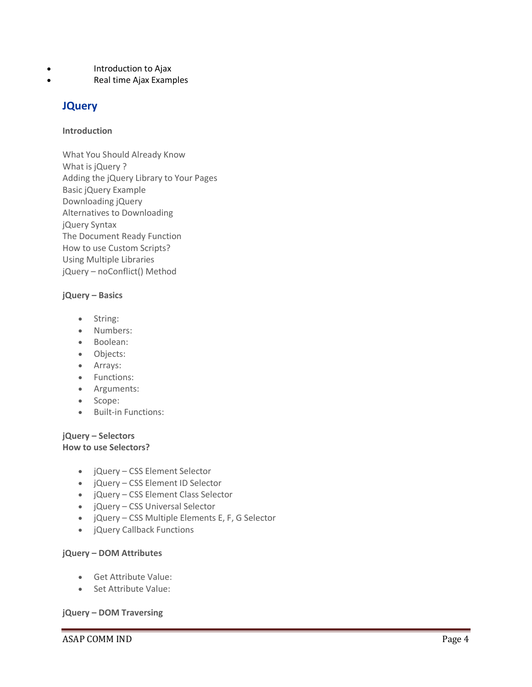- Introduction to Ajax
- Real time Ajax Examples

## **JQuery**

#### **Introduction**

What You Should Already Know What is jQuery ? Adding the jQuery Library to Your Pages Basic jQuery Example Downloading jQuery Alternatives to Downloading jQuery Syntax The Document Ready Function How to use Custom Scripts? Using Multiple Libraries jQuery – noConflict() Method

#### **jQuery – Basics**

- String:
- Numbers:
- Boolean:
- Objects:
- Arrays:
- Functions:
- Arguments:
- Scope:
- Built-in Functions:

#### **jQuery – Selectors How to use Selectors?**

- jQuery CSS Element Selector
- jQuery CSS Element ID Selector
- jQuery CSS Element Class Selector
- jQuery CSS Universal Selector
- jQuery CSS Multiple Elements E, F, G Selector
- jQuery Callback Functions

#### **jQuery – DOM Attributes**

- Get Attribute Value:
- Set Attribute Value:

#### **jQuery – DOM Traversing**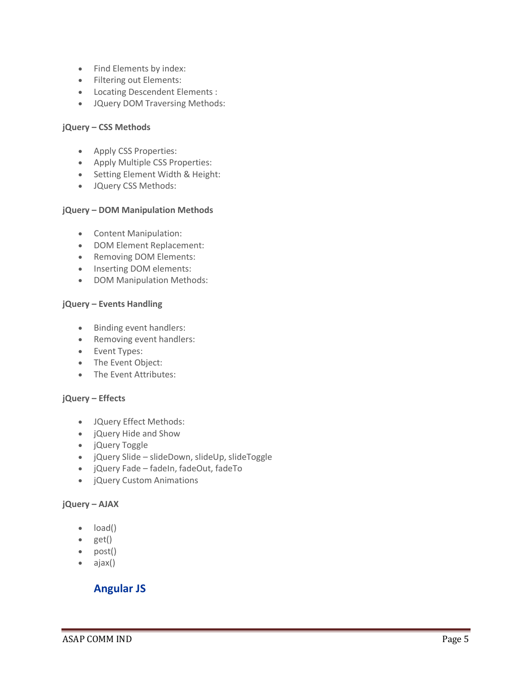- Find Elements by index:
- Filtering out Elements:
- Locating Descendent Elements :
- JQuery DOM Traversing Methods:

#### **jQuery – CSS Methods**

- Apply CSS Properties:
- Apply Multiple CSS Properties:
- Setting Element Width & Height:
- JQuery CSS Methods:

#### **jQuery – DOM Manipulation Methods**

- Content Manipulation:
- DOM Element Replacement:
- Removing DOM Elements:
- Inserting DOM elements:
- DOM Manipulation Methods:

#### **jQuery – Events Handling**

- Binding event handlers:
- Removing event handlers:
- Event Types:
- The Event Object:
- The Event Attributes:

#### **jQuery – Effects**

- JQuery Effect Methods:
- jQuery Hide and Show
- jQuery Toggle
- jQuery Slide slideDown, slideUp, slideToggle
- jQuery Fade fadeIn, fadeOut, fadeTo
- jQuery Custom Animations

#### **jQuery – AJAX**

- load()
- $\bullet$  get()
- $\bullet$  post()
- ajax()

## **Angular JS**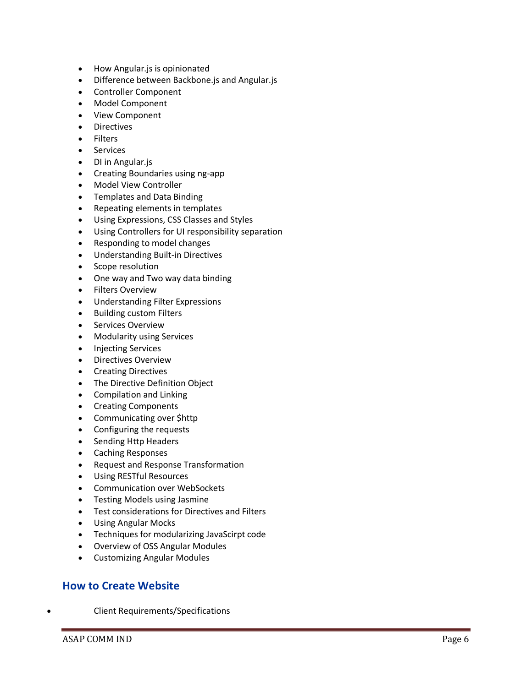- How Angular. is is opinionated
- Difference between Backbone.js and Angular.js
- Controller Component
- Model Component
- View Component
- Directives
- Filters
- Services
- DI in Angular.js
- Creating Boundaries using ng-app
- Model View Controller
- Templates and Data Binding
- Repeating elements in templates
- Using Expressions, CSS Classes and Styles
- Using Controllers for UI responsibility separation
- Responding to model changes
- Understanding Built-in Directives
- Scope resolution
- One way and Two way data binding
- **•** Filters Overview
- Understanding Filter Expressions
- Building custom Filters
- Services Overview
- Modularity using Services
- Injecting Services
- Directives Overview
- Creating Directives
- The Directive Definition Object
- Compilation and Linking
- Creating Components
- Communicating over \$http
- Configuring the requests
- Sending Http Headers
- Caching Responses
- Request and Response Transformation
- Using RESTful Resources
- Communication over WebSockets
- Testing Models using Jasmine
- Test considerations for Directives and Filters
- Using Angular Mocks
- Techniques for modularizing JavaScirpt code
- Overview of OSS Angular Modules
- Customizing Angular Modules

#### **How to Create Website**

Client Requirements/Specifications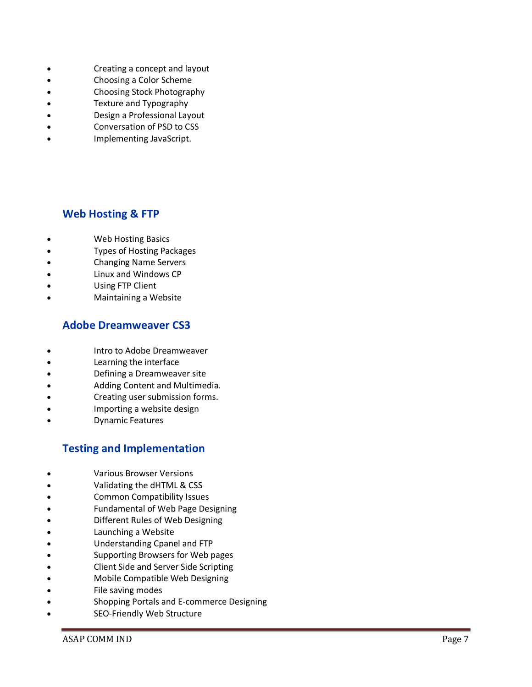- Creating a concept and layout
- Choosing a Color Scheme
- Choosing Stock Photography
- Texture and Typography
- Design a Professional Layout
- Conversation of PSD to CSS
- Implementing JavaScript.

## **Web Hosting & FTP**

- Web Hosting Basics
- Types of Hosting Packages
- Changing Name Servers
- Linux and Windows CP
- Using FTP Client
- Maintaining a Website

## **Adobe Dreamweaver CS3**

- Intro to Adobe Dreamweaver
- Learning the interface
- Defining a Dreamweaver site
- Adding Content and Multimedia.
- Creating user submission forms.
- Importing a website design
- Dynamic Features

## **Testing and Implementation**

- Various Browser Versions
- Validating the dHTML & CSS
- Common Compatibility Issues
- Fundamental of Web Page Designing
- Different Rules of Web Designing
- Launching a Website
- Understanding Cpanel and FTP
- Supporting Browsers for Web pages
- Client Side and Server Side Scripting
- Mobile Compatible Web Designing
- File saving modes
- Shopping Portals and E-commerce Designing
- SEO-Friendly Web Structure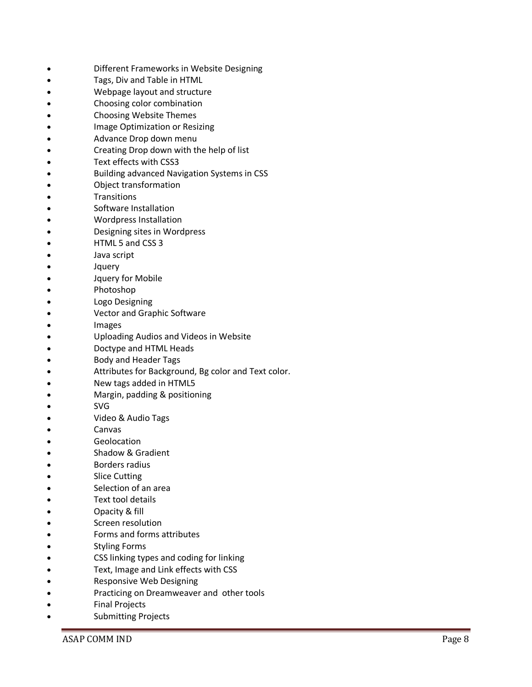- Different Frameworks in Website Designing
- Tags, Div and Table in HTML
- Webpage layout and structure
- Choosing color combination
- Choosing Website Themes
- Image Optimization or Resizing
- Advance Drop down menu
- Creating Drop down with the help of list
- Text effects with CSS3
- Building advanced Navigation Systems in CSS
- Object transformation
- **Transitions**
- Software Installation
- Wordpress Installation
- Designing sites in Wordpress
- HTML 5 and CSS 3
- Java script
- Jquery
- Jquery for Mobile
- Photoshop
- Logo Designing
- Vector and Graphic Software
- Images
- Uploading Audios and Videos in Website
- Doctype and HTML Heads
- Body and Header Tags
- Attributes for Background, Bg color and Text color.
- New tags added in HTML5
- Margin, padding & positioning
- SVG
- Video & Audio Tags
- Canvas
- Geolocation
- Shadow & Gradient
- Borders radius
- Slice Cutting
- Selection of an area
- Text tool details
- Opacity & fill
- Screen resolution
- Forms and forms attributes
- Styling Forms
- CSS linking types and coding for linking
- Text, Image and Link effects with CSS
- Responsive Web Designing
- Practicing on Dreamweaver and other tools
- Final Projects
- Submitting Projects